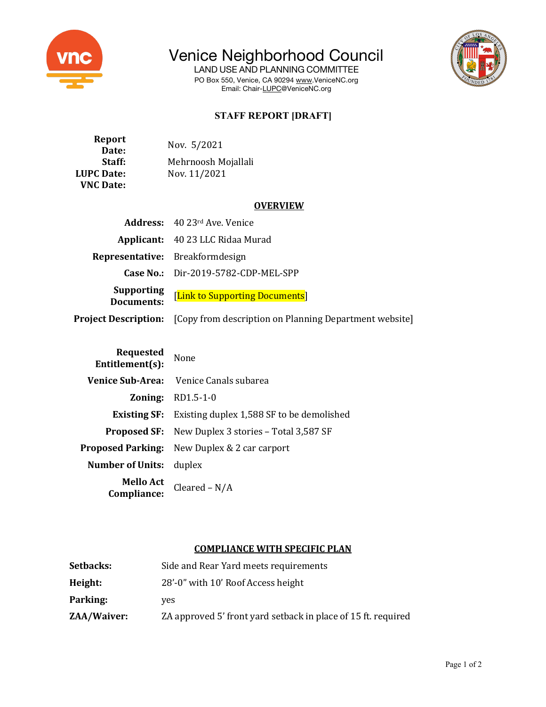

# Venice Neighborhood Council

LAND USE AND PLANNING COMMITTEE PO Box 550, Venice, CA 90294 www.VeniceNC.org Email: Chair-LUPC@VeniceNC.org



# **STAFF REPORT [DRAFT]**

| Report            | Nov. 5/2021         |
|-------------------|---------------------|
| Date:             |                     |
| Staff:            | Mehrnoosh Mojallali |
| <b>LUPC Date:</b> | Nov. 11/2021        |
| <b>VNC Date:</b>  |                     |

## **OVERVIEW**

|                                 | <b>Address:</b> 40 23rd Ave, Venice                                                |
|---------------------------------|------------------------------------------------------------------------------------|
|                                 | Applicant: 40 23 LLC Ridaa Murad                                                   |
|                                 | Representative: Breakformdesign                                                    |
|                                 | Case No.: $Dir-2019-5782-CDP-MEL-SPP$                                              |
| <b>Supporting</b><br>Documents: | [Link to Supporting Documents]                                                     |
|                                 | <b>Project Description:</b> [Copy from description on Planning Department website] |

| <b>Requested</b><br>Entitlement(s): | None                                                          |
|-------------------------------------|---------------------------------------------------------------|
| Venice Sub-Area:                    | Venice Canals subarea                                         |
|                                     | <b>Zoning: RD1.5-1-0</b>                                      |
|                                     | <b>Existing SF:</b> Existing duplex 1,588 SF to be demolished |
|                                     | <b>Proposed SF:</b> New Duplex 3 stories – Total 3,587 SF     |
|                                     | <b>Proposed Parking:</b> New Duplex & 2 car carport           |
| <b>Number of Units:</b>             | duplex                                                        |
| <b>Mello Act</b><br>Compliance:     | Cleared $- N/A$                                               |

# **COMPLIANCE WITH SPECIFIC PLAN**

| Setbacks:   | Side and Rear Yard meets requirements                         |
|-------------|---------------------------------------------------------------|
| Height:     | 28'-0" with 10' Roof Access height                            |
| Parking:    | ves                                                           |
| ZAA/Waiver: | ZA approved 5' front yard setback in place of 15 ft. required |